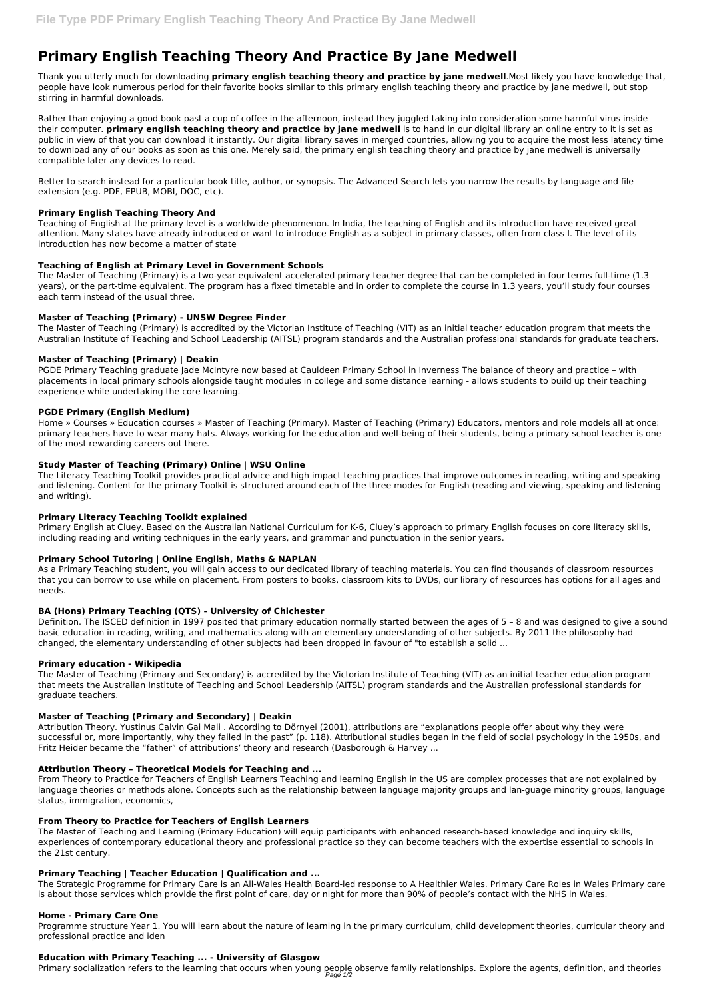# **Primary English Teaching Theory And Practice By Jane Medwell**

Thank you utterly much for downloading **primary english teaching theory and practice by jane medwell**.Most likely you have knowledge that, people have look numerous period for their favorite books similar to this primary english teaching theory and practice by jane medwell, but stop stirring in harmful downloads.

Rather than enjoying a good book past a cup of coffee in the afternoon, instead they juggled taking into consideration some harmful virus inside their computer. **primary english teaching theory and practice by jane medwell** is to hand in our digital library an online entry to it is set as public in view of that you can download it instantly. Our digital library saves in merged countries, allowing you to acquire the most less latency time to download any of our books as soon as this one. Merely said, the primary english teaching theory and practice by jane medwell is universally compatible later any devices to read.

Better to search instead for a particular book title, author, or synopsis. The Advanced Search lets you narrow the results by language and file extension (e.g. PDF, EPUB, MOBI, DOC, etc).

# **Primary English Teaching Theory And**

Teaching of English at the primary level is a worldwide phenomenon. In India, the teaching of English and its introduction have received great attention. Many states have already introduced or want to introduce English as a subject in primary classes, often from class I. The level of its introduction has now become a matter of state

# **Teaching of English at Primary Level in Government Schools**

The Master of Teaching (Primary) is a two-year equivalent accelerated primary teacher degree that can be completed in four terms full-time (1.3 years), or the part-time equivalent. The program has a fixed timetable and in order to complete the course in 1.3 years, you'll study four courses each term instead of the usual three.

# **Master of Teaching (Primary) - UNSW Degree Finder**

The Master of Teaching (Primary) is accredited by the Victorian Institute of Teaching (VIT) as an initial teacher education program that meets the Australian Institute of Teaching and School Leadership (AITSL) program standards and the Australian professional standards for graduate teachers.

# **Master of Teaching (Primary) | Deakin**

PGDE Primary Teaching graduate Jade McIntyre now based at Cauldeen Primary School in Inverness The balance of theory and practice – with placements in local primary schools alongside taught modules in college and some distance learning - allows students to build up their teaching experience while undertaking the core learning.

#### **PGDE Primary (English Medium)**

Home » Courses » Education courses » Master of Teaching (Primary). Master of Teaching (Primary) Educators, mentors and role models all at once: primary teachers have to wear many hats. Always working for the education and well-being of their students, being a primary school teacher is one of the most rewarding careers out there.

#### **Study Master of Teaching (Primary) Online | WSU Online**

The Literacy Teaching Toolkit provides practical advice and high impact teaching practices that improve outcomes in reading, writing and speaking and listening. Content for the primary Toolkit is structured around each of the three modes for English (reading and viewing, speaking and listening and writing).

#### **Primary Literacy Teaching Toolkit explained**

Primary English at Cluey. Based on the Australian National Curriculum for K-6, Cluey's approach to primary English focuses on core literacy skills, including reading and writing techniques in the early years, and grammar and punctuation in the senior years.

# **Primary School Tutoring | Online English, Maths & NAPLAN**

As a Primary Teaching student, you will gain access to our dedicated library of teaching materials. You can find thousands of classroom resources that you can borrow to use while on placement. From posters to books, classroom kits to DVDs, our library of resources has options for all ages and needs.

# **BA (Hons) Primary Teaching (QTS) - University of Chichester**

Definition. The ISCED definition in 1997 posited that primary education normally started between the ages of 5 – 8 and was designed to give a sound basic education in reading, writing, and mathematics along with an elementary understanding of other subjects. By 2011 the philosophy had changed, the elementary understanding of other subjects had been dropped in favour of "to establish a solid ...

#### **Primary education - Wikipedia**

The Master of Teaching (Primary and Secondary) is accredited by the Victorian Institute of Teaching (VIT) as an initial teacher education program that meets the Australian Institute of Teaching and School Leadership (AITSL) program standards and the Australian professional standards for graduate teachers.

#### **Master of Teaching (Primary and Secondary) | Deakin**

Attribution Theory. Yustinus Calvin Gai Mali . According to Dörnyei (2001), attributions are "explanations people offer about why they were successful or, more importantly, why they failed in the past" (p. 118). Attributional studies began in the field of social psychology in the 1950s, and Fritz Heider became the "father" of attributions' theory and research (Dasborough & Harvey ...

#### **Attribution Theory – Theoretical Models for Teaching and ...**

From Theory to Practice for Teachers of English Learners Teaching and learning English in the US are complex processes that are not explained by language theories or methods alone. Concepts such as the relationship between language majority groups and lan-guage minority groups, language status, immigration, economics,

# **From Theory to Practice for Teachers of English Learners**

The Master of Teaching and Learning (Primary Education) will equip participants with enhanced research-based knowledge and inquiry skills, experiences of contemporary educational theory and professional practice so they can become teachers with the expertise essential to schools in the 21st century.

#### **Primary Teaching | Teacher Education | Qualification and ...**

The Strategic Programme for Primary Care is an All-Wales Health Board-led response to A Healthier Wales. Primary Care Roles in Wales Primary care is about those services which provide the first point of care, day or night for more than 90% of people's contact with the NHS in Wales.

#### **Home - Primary Care One**

Programme structure Year 1. You will learn about the nature of learning in the primary curriculum, child development theories, curricular theory and professional practice and iden

#### **Education with Primary Teaching ... - University of Glasgow**

Primary socialization refers to the learning that occurs when young people observe family relationships. Explore the agents, definition, and theories Page 1/2